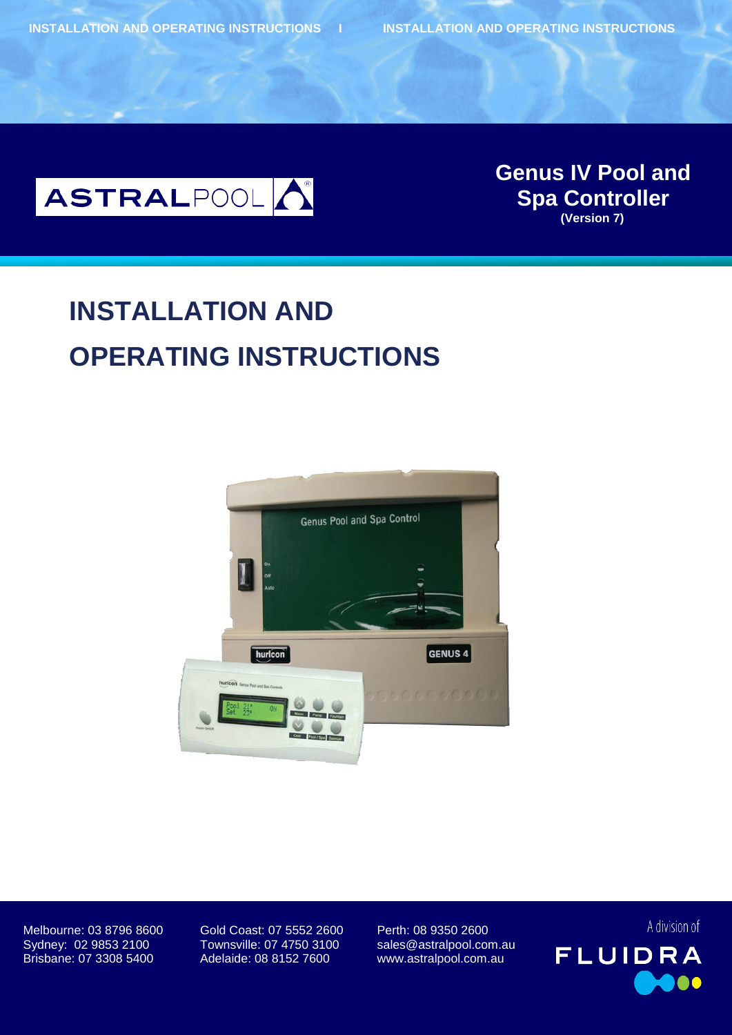

**Genus IV Pool and Genus IV Pool and Spa Controller (Version 7) Spa Controller (Version 7)**

# **INSTALLATION AND OPERATING INSTRUCTIONS**



Melbourne: 03 8796 8600 Gold Coast: 07 5552 2600 Perth: 08 9350 2600 Sydney: 02 9853 2100 Townsville: 07 4750 3100 sales@astralpool.com.au Brisbane: 07 3308 5400 Adelaide: 08 8152 7600 www.astralpool.com.au

A division of **FLUIDRA**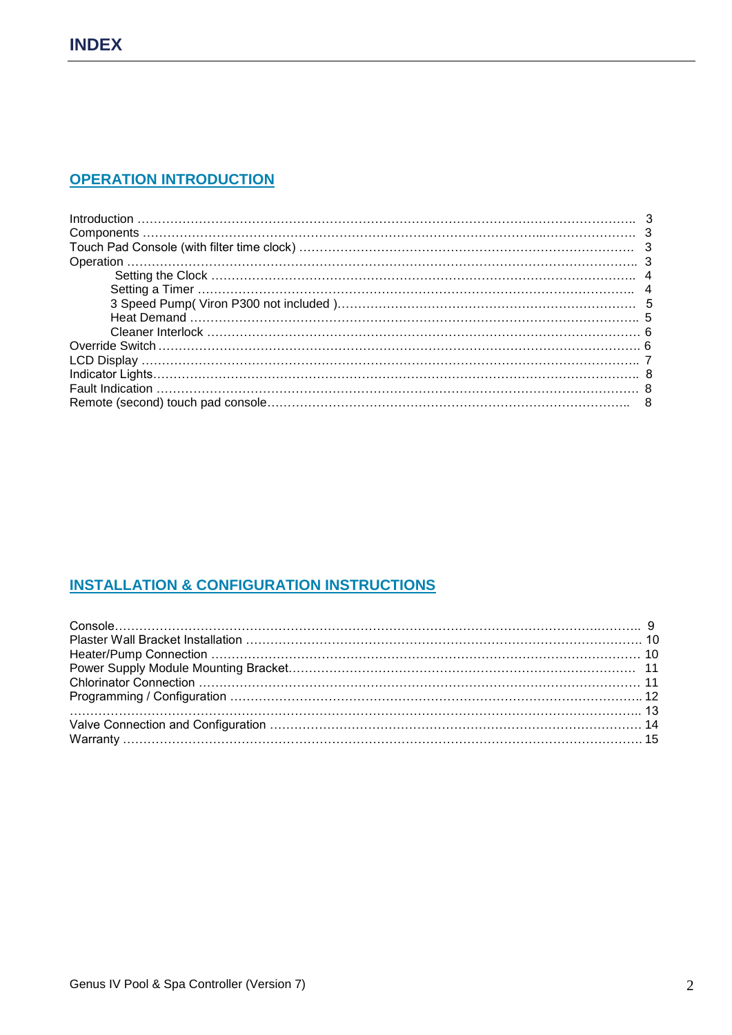## **OPERATION INTRODUCTION**

## **INSTALLATION & CONFIGURATION INSTRUCTIONS**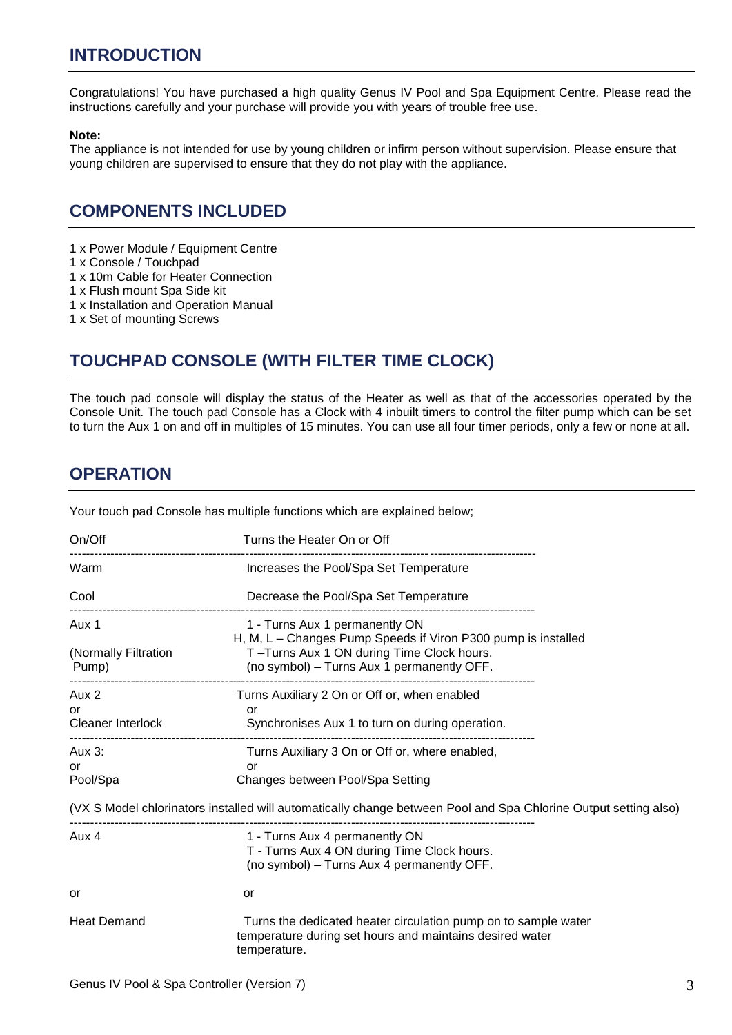## **INTRODUCTION**

Congratulations! You have purchased a high quality Genus IV Pool and Spa Equipment Centre. Please read the instructions carefully and your purchase will provide you with years of trouble free use.

#### **Note:**

The appliance is not intended for use by young children or infirm person without supervision. Please ensure that young children are supervised to ensure that they do not play with the appliance.

## **COMPONENTS INCLUDED**

- 1 x Power Module / Equipment Centre
- 1 x Console / Touchpad
- 1 x 10m Cable for Heater Connection
- 1 x Flush mount Spa Side kit
- 1 x Installation and Operation Manual
- 1 x Set of mounting Screws

## **TOUCHPAD CONSOLE (WITH FILTER TIME CLOCK)**

The touch pad console will display the status of the Heater as well as that of the accessories operated by the Console Unit. The touch pad Console has a Clock with 4 inbuilt timers to control the filter pump which can be set to turn the Aux 1 on and off in multiples of 15 minutes. You can use all four timer periods, only a few or none at all.

## **OPERATION**

Your touch pad Console has multiple functions which are explained below;

| On/Off                                  | Turns the Heater On or Off                                                                                                                                                                                  |
|-----------------------------------------|-------------------------------------------------------------------------------------------------------------------------------------------------------------------------------------------------------------|
| Warm                                    | Increases the Pool/Spa Set Temperature                                                                                                                                                                      |
| Cool                                    | Decrease the Pool/Spa Set Temperature                                                                                                                                                                       |
| Aux 1<br>(Normally Filtration<br>Pump)  | 1 - Turns Aux 1 permanently ON<br>H, M, L - Changes Pump Speeds if Viron P300 pump is installed<br>T-Turns Aux 1 ON during Time Clock hours.<br>(no symbol) - Turns Aux 1 permanently OFF.                  |
| Aux 2<br>or<br><b>Cleaner Interlock</b> | Turns Auxiliary 2 On or Off or, when enabled<br>or<br>Synchronises Aux 1 to turn on during operation.                                                                                                       |
| Aux 3:<br>or<br>Pool/Spa                | Turns Auxiliary 3 On or Off or, where enabled,<br>or<br>Changes between Pool/Spa Setting<br>(VX S Model chlorinators installed will automatically change between Pool and Spa Chlorine Output setting also) |
| Aux 4                                   | 1 - Turns Aux 4 permanently ON<br>T - Turns Aux 4 ON during Time Clock hours.<br>(no symbol) - Turns Aux 4 permanently OFF.                                                                                 |
| or                                      | or                                                                                                                                                                                                          |
| <b>Heat Demand</b>                      | Turns the dedicated heater circulation pump on to sample water<br>temperature during set hours and maintains desired water<br>temperature.                                                                  |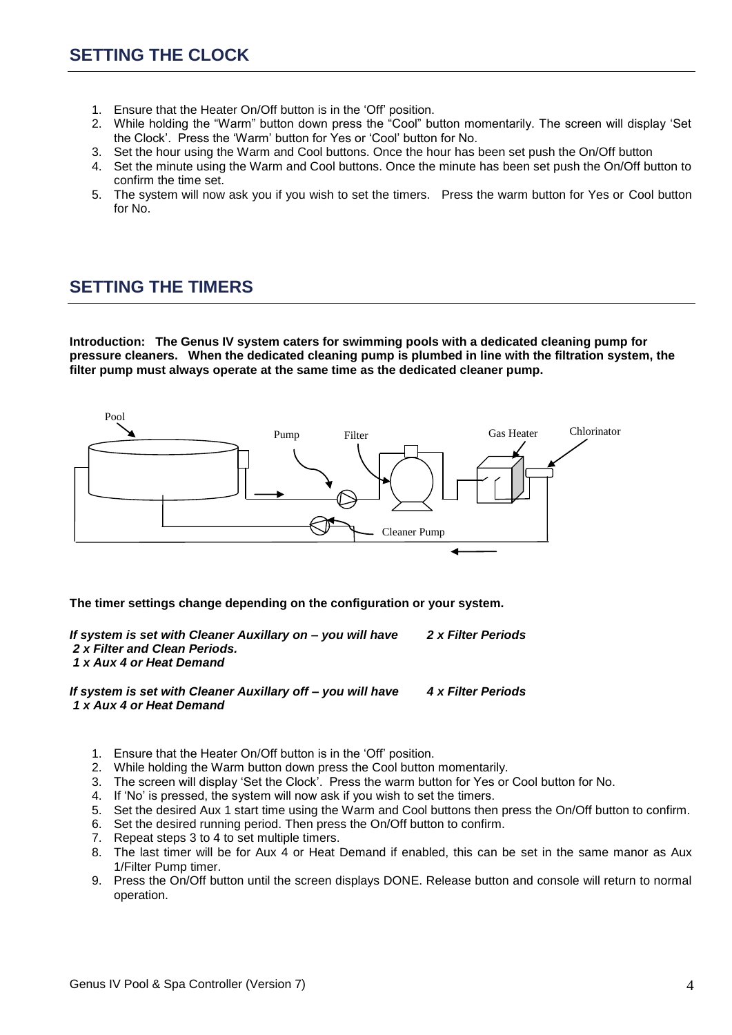- 1. Ensure that the Heater On/Off button is in the "Off" position.
- 2. While holding the "Warm" button down press the "Cool" button momentarily. The screen will display "Set the Clock". Press the "Warm" button for Yes or "Cool" button for No.
- 3. Set the hour using the Warm and Cool buttons. Once the hour has been set push the On/Off button
- 4. Set the minute using the Warm and Cool buttons. Once the minute has been set push the On/Off button to confirm the time set.
- 5. The system will now ask you if you wish to set the timers. Press the warm button for Yes or Cool button for No.

## **SETTING THE TIMERS**

**Introduction: The Genus IV system caters for swimming pools with a dedicated cleaning pump for pressure cleaners. When the dedicated cleaning pump is plumbed in line with the filtration system, the filter pump must always operate at the same time as the dedicated cleaner pump.**



**The timer settings change depending on the configuration or your system.**

*If system is set with Cleaner Auxillary on – you will have 2 x Filter Periods 2 x Filter and Clean Periods. 1 x Aux 4 or Heat Demand*

*If system is set with Cleaner Auxillary off – you will have 4 x Filter Periods 1 x Aux 4 or Heat Demand*

- 1. Ensure that the Heater On/Off button is in the "Off" position.
- 2. While holding the Warm button down press the Cool button momentarily.
- 3. The screen will display "Set the Clock". Press the warm button for Yes or Cool button for No.
- 4. If "No" is pressed, the system will now ask if you wish to set the timers.
- 5. Set the desired Aux 1 start time using the Warm and Cool buttons then press the On/Off button to confirm.
- 6. Set the desired running period. Then press the On/Off button to confirm.
- 7. Repeat steps 3 to 4 to set multiple timers.
- 8. The last timer will be for Aux 4 or Heat Demand if enabled, this can be set in the same manor as Aux 1/Filter Pump timer.
- 9. Press the On/Off button until the screen displays DONE. Release button and console will return to normal operation.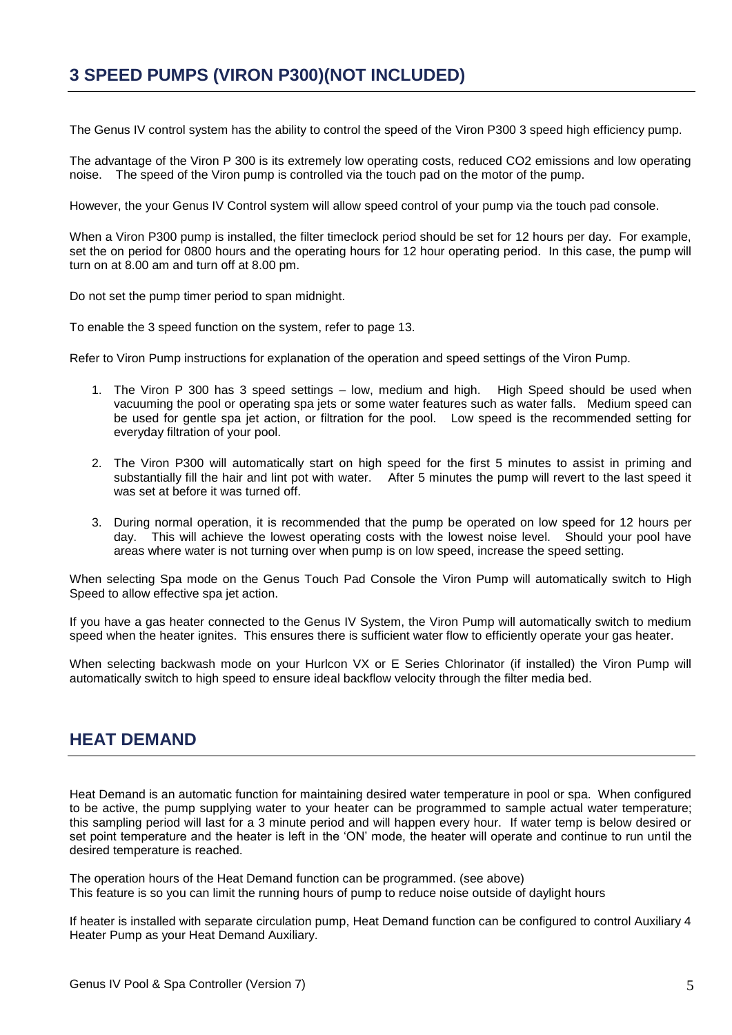## **3 SPEED PUMPS (VIRON P300)(NOT INCLUDED)**

The Genus IV control system has the ability to control the speed of the Viron P300 3 speed high efficiency pump.

The advantage of the Viron P 300 is its extremely low operating costs, reduced CO2 emissions and low operating noise. The speed of the Viron pump is controlled via the touch pad on the motor of the pump.

However, the your Genus IV Control system will allow speed control of your pump via the touch pad console.

When a Viron P300 pump is installed, the filter timeclock period should be set for 12 hours per day. For example, set the on period for 0800 hours and the operating hours for 12 hour operating period. In this case, the pump will turn on at 8.00 am and turn off at 8.00 pm.

Do not set the pump timer period to span midnight.

To enable the 3 speed function on the system, refer to page 13.

Refer to Viron Pump instructions for explanation of the operation and speed settings of the Viron Pump.

- 1. The Viron P 300 has 3 speed settings low, medium and high. High Speed should be used when vacuuming the pool or operating spa jets or some water features such as water falls. Medium speed can be used for gentle spa jet action, or filtration for the pool. Low speed is the recommended setting for everyday filtration of your pool.
- 2. The Viron P300 will automatically start on high speed for the first 5 minutes to assist in priming and substantially fill the hair and lint pot with water. After 5 minutes the pump will revert to the last speed it was set at before it was turned off.
- 3. During normal operation, it is recommended that the pump be operated on low speed for 12 hours per day. This will achieve the lowest operating costs with the lowest noise level. Should your pool have areas where water is not turning over when pump is on low speed, increase the speed setting.

When selecting Spa mode on the Genus Touch Pad Console the Viron Pump will automatically switch to High Speed to allow effective spa jet action.

If you have a gas heater connected to the Genus IV System, the Viron Pump will automatically switch to medium speed when the heater ignites. This ensures there is sufficient water flow to efficiently operate your gas heater.

When selecting backwash mode on your Hurlcon VX or E Series Chlorinator (if installed) the Viron Pump will automatically switch to high speed to ensure ideal backflow velocity through the filter media bed.

## **HEAT DEMAND**

Heat Demand is an automatic function for maintaining desired water temperature in pool or spa. When configured to be active, the pump supplying water to your heater can be programmed to sample actual water temperature; this sampling period will last for a 3 minute period and will happen every hour. If water temp is below desired or set point temperature and the heater is left in the "ON" mode, the heater will operate and continue to run until the desired temperature is reached.

The operation hours of the Heat Demand function can be programmed. (see above) This feature is so you can limit the running hours of pump to reduce noise outside of daylight hours

If heater is installed with separate circulation pump, Heat Demand function can be configured to control Auxiliary 4 Heater Pump as your Heat Demand Auxiliary.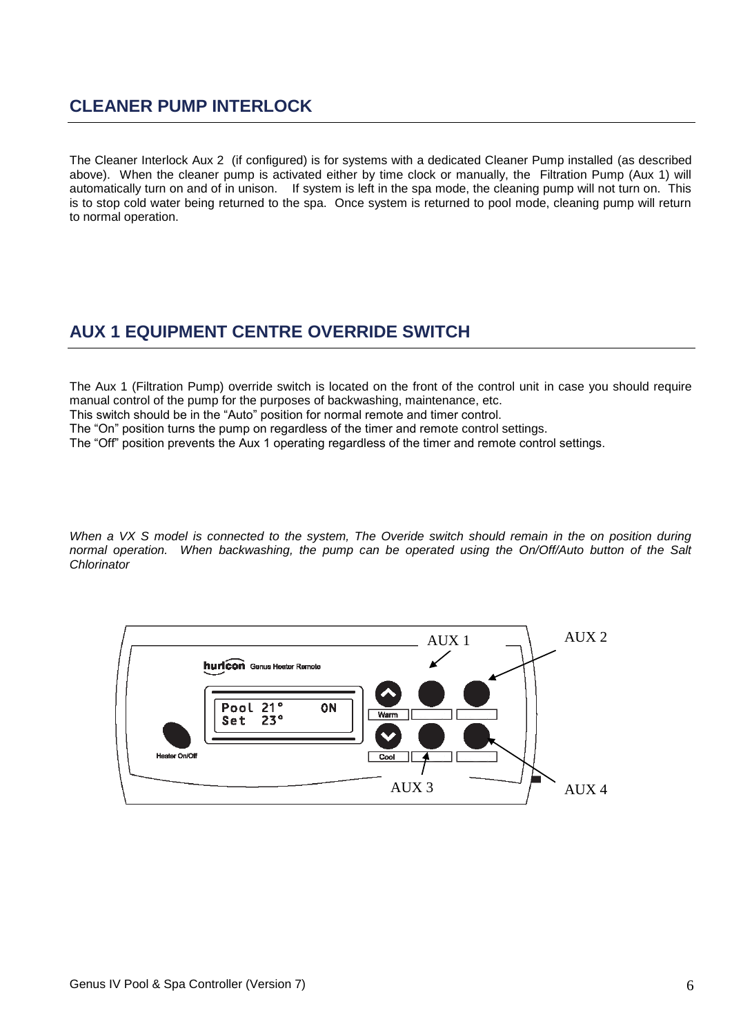## **CLEANER PUMP INTERLOCK**

The Cleaner Interlock Aux 2 (if configured) is for systems with a dedicated Cleaner Pump installed (as described above). When the cleaner pump is activated either by time clock or manually, the Filtration Pump (Aux 1) will automatically turn on and of in unison. If system is left in the spa mode, the cleaning pump will not turn on. This is to stop cold water being returned to the spa. Once system is returned to pool mode, cleaning pump will return to normal operation.

## **AUX 1 EQUIPMENT CENTRE OVERRIDE SWITCH**

The Aux 1 (Filtration Pump) override switch is located on the front of the control unit in case you should require manual control of the pump for the purposes of backwashing, maintenance, etc.

This switch should be in the "Auto" position for normal remote and timer control.

The "On" position turns the pump on regardless of the timer and remote control settings.

The "Off" position prevents the Aux 1 operating regardless of the timer and remote control settings.

*When a VX S model is connected to the system, The Overide switch should remain in the on position during normal operation. When backwashing, the pump can be operated using the On/Off/Auto button of the Salt Chlorinator*

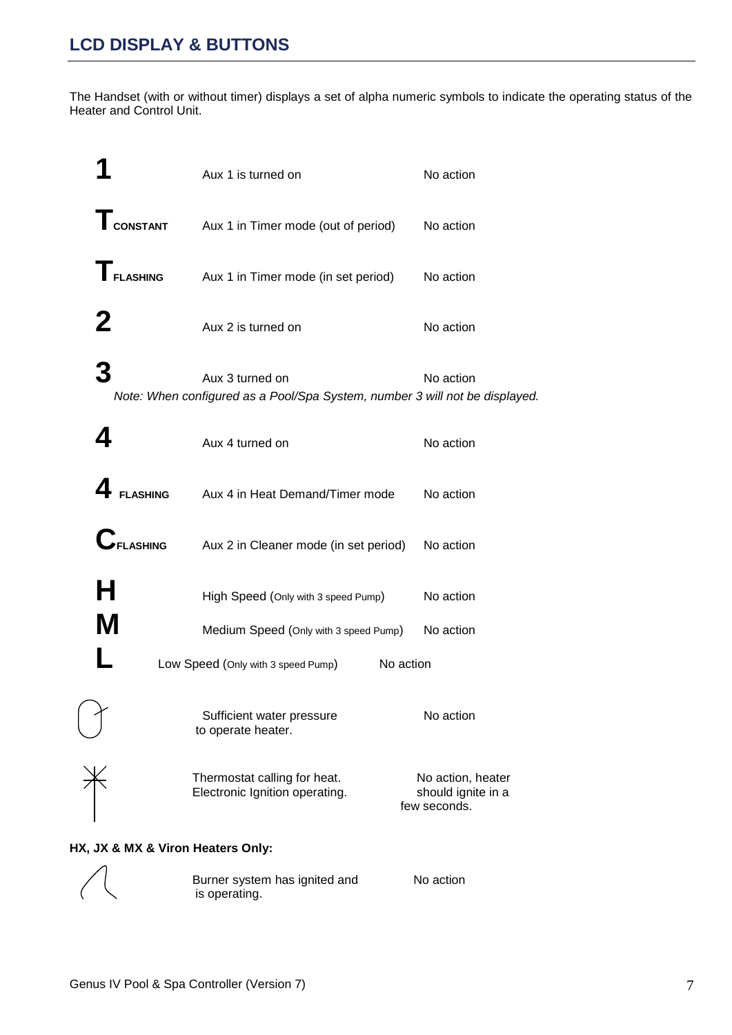The Handset (with or without timer) displays a set of alpha numeric symbols to indicate the operating status of the Heater and Control Unit.

|                                   | Aux 1 is turned on                                                                             | No action                                               |
|-----------------------------------|------------------------------------------------------------------------------------------------|---------------------------------------------------------|
| <b>T</b> CONSTANT                 | Aux 1 in Timer mode (out of period)                                                            | No action                                               |
| $\Gamma$ FLASHING                 | Aux 1 in Timer mode (in set period)                                                            | No action                                               |
| 2                                 | Aux 2 is turned on                                                                             | No action                                               |
| 3                                 | Aux 3 turned on<br>Note: When configured as a Pool/Spa System, number 3 will not be displayed. | No action                                               |
|                                   | Aux 4 turned on                                                                                | No action                                               |
| <b>FLASHING</b>                   | Aux 4 in Heat Demand/Timer mode                                                                | No action                                               |
| <b>UFLASHING</b>                  | Aux 2 in Cleaner mode (in set period)                                                          | No action                                               |
| Н                                 | High Speed (Only with 3 speed Pump)                                                            | No action                                               |
| M                                 | Medium Speed (Only with 3 speed Pump)                                                          | No action                                               |
|                                   | Low Speed (Only with 3 speed Pump)                                                             | No action                                               |
|                                   | Sufficient water pressure<br>to operate heater.                                                | No action                                               |
|                                   | Thermostat calling for heat.<br>Electronic Ignition operating.                                 | No action, heater<br>should ignite in a<br>few seconds. |
| HX, JX & MX & Viron Heaters Only: |                                                                                                |                                                         |

#### **HX, JX & MX & Viron Heaters Only:**



Burner system has ignited and Mo action is operating.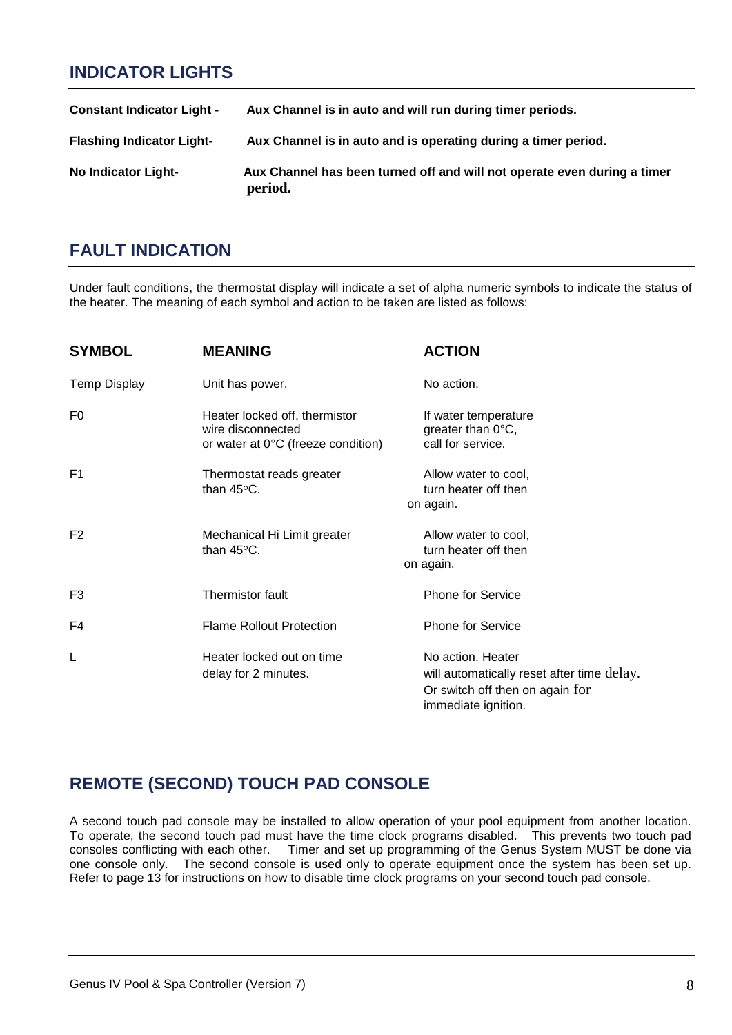## **INDICATOR LIGHTS**

| <b>Constant Indicator Light -</b> | Aux Channel is in auto and will run during timer periods.                           |
|-----------------------------------|-------------------------------------------------------------------------------------|
| <b>Flashing Indicator Light-</b>  | Aux Channel is in auto and is operating during a timer period.                      |
| No Indicator Light-               | Aux Channel has been turned off and will not operate even during a timer<br>period. |

## **FAULT INDICATION**

Under fault conditions, the thermostat display will indicate a set of alpha numeric symbols to indicate the status of the heater. The meaning of each symbol and action to be taken are listed as follows:

| <b>SYMBOL</b>       | <b>MEANING</b>                                                                           | <b>ACTION</b>                                                                                                             |
|---------------------|------------------------------------------------------------------------------------------|---------------------------------------------------------------------------------------------------------------------------|
| <b>Temp Display</b> | Unit has power.                                                                          | No action.                                                                                                                |
| F0                  | Heater locked off, thermistor<br>wire disconnected<br>or water at 0°C (freeze condition) | If water temperature<br>greater than 0°C,<br>call for service.                                                            |
| F1                  | Thermostat reads greater<br>than $45^{\circ}$ C.                                         | Allow water to cool,<br>turn heater off then<br>on again.                                                                 |
| F <sub>2</sub>      | Mechanical Hi Limit greater<br>than $45^{\circ}$ C.                                      | Allow water to cool,<br>turn heater off then<br>on again.                                                                 |
| F <sub>3</sub>      | Thermistor fault                                                                         | <b>Phone for Service</b>                                                                                                  |
| F4                  | <b>Flame Rollout Protection</b>                                                          | <b>Phone for Service</b>                                                                                                  |
| L                   | Heater locked out on time<br>delay for 2 minutes.                                        | No action. Heater<br>will automatically reset after time delay.<br>Or switch off then on again for<br>immediate ignition. |

# **REMOTE (SECOND) TOUCH PAD CONSOLE**

A second touch pad console may be installed to allow operation of your pool equipment from another location. To operate, the second touch pad must have the time clock programs disabled. This prevents two touch pad consoles conflicting with each other. Timer and set up programming of the Genus System MUST be done via one console only. The second console is used only to operate equipment once the system has been set up. Refer to page 13 for instructions on how to disable time clock programs on your second touch pad console.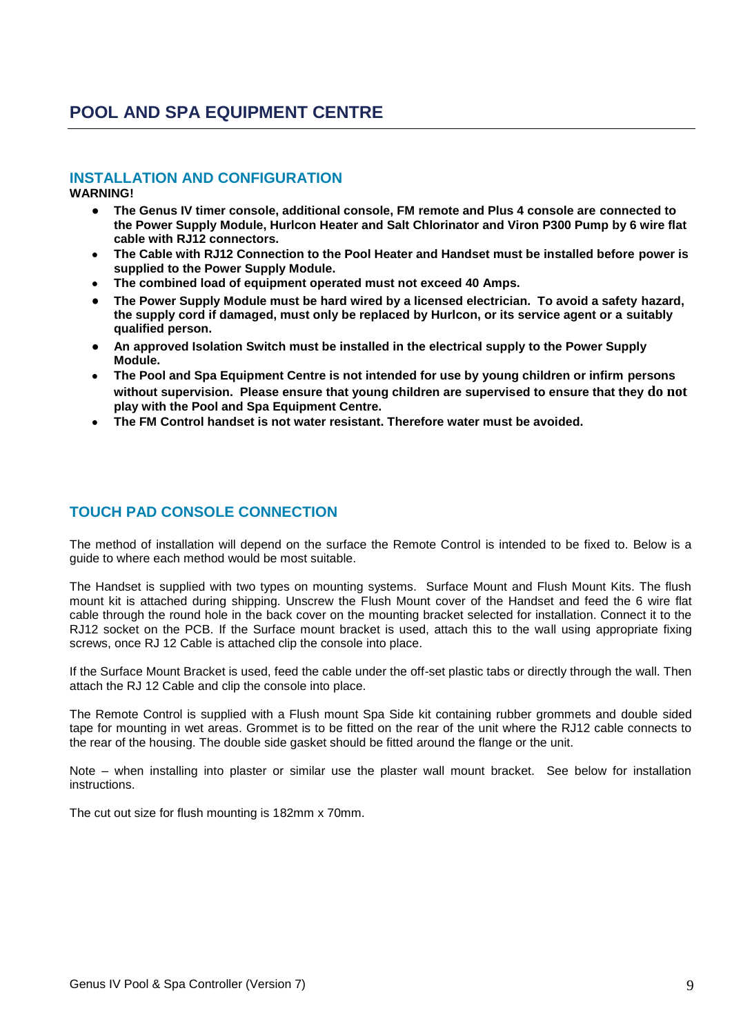# **POOL AND SPA EQUIPMENT CENTRE**

#### **INSTALLATION AND CONFIGURATION**

**WARNING!**

- $\bullet$ **The Genus IV timer console, additional console, FM remote and Plus 4 console are connected to the Power Supply Module, Hurlcon Heater and Salt Chlorinator and Viron P300 Pump by 6 wire flat cable with RJ12 connectors.**
- **The Cable with RJ12 Connection to the Pool Heater and Handset must be installed before power is supplied to the Power Supply Module.**
- **The combined load of equipment operated must not exceed 40 Amps.**
- **The Power Supply Module must be hard wired by a licensed electrician. To avoid a safety hazard, the supply cord if damaged, must only be replaced by Hurlcon, or its service agent or a suitably qualified person.**
- **An approved Isolation Switch must be installed in the electrical supply to the Power Supply Module.**
- **The Pool and Spa Equipment Centre is not intended for use by young children or infirm persons without supervision. Please ensure that young children are supervised to ensure that they do not play with the Pool and Spa Equipment Centre.**
- **The FM Control handset is not water resistant. Therefore water must be avoided.**

## **TOUCH PAD CONSOLE CONNECTION**

The method of installation will depend on the surface the Remote Control is intended to be fixed to. Below is a guide to where each method would be most suitable.

The Handset is supplied with two types on mounting systems. Surface Mount and Flush Mount Kits. The flush mount kit is attached during shipping. Unscrew the Flush Mount cover of the Handset and feed the 6 wire flat cable through the round hole in the back cover on the mounting bracket selected for installation. Connect it to the RJ12 socket on the PCB. If the Surface mount bracket is used, attach this to the wall using appropriate fixing screws, once RJ 12 Cable is attached clip the console into place.

If the Surface Mount Bracket is used, feed the cable under the off-set plastic tabs or directly through the wall. Then attach the RJ 12 Cable and clip the console into place.

The Remote Control is supplied with a Flush mount Spa Side kit containing rubber grommets and double sided tape for mounting in wet areas. Grommet is to be fitted on the rear of the unit where the RJ12 cable connects to the rear of the housing. The double side gasket should be fitted around the flange or the unit.

Note – when installing into plaster or similar use the plaster wall mount bracket. See below for installation instructions.

The cut out size for flush mounting is 182mm x 70mm.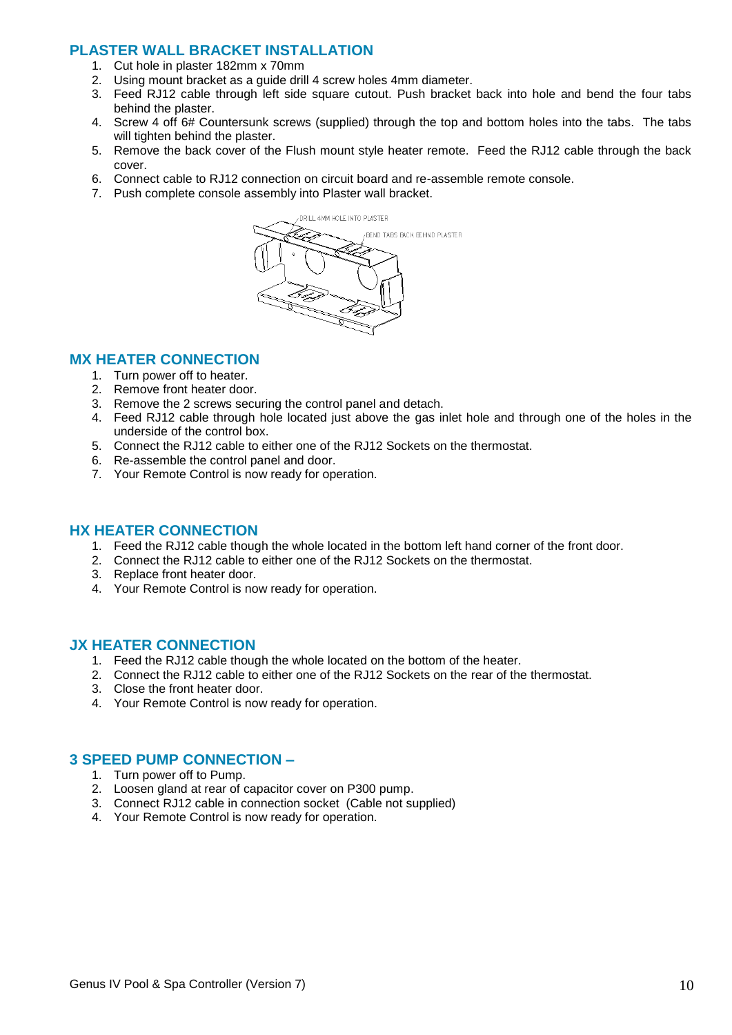#### **PLASTER WALL BRACKET INSTALLATION**

- 1. Cut hole in plaster 182mm x 70mm
- 2. Using mount bracket as a guide drill 4 screw holes 4mm diameter.
- 3. Feed RJ12 cable through left side square cutout. Push bracket back into hole and bend the four tabs behind the plaster.
- 4. Screw 4 off 6# Countersunk screws (supplied) through the top and bottom holes into the tabs. The tabs will tighten behind the plaster.
- 5. Remove the back cover of the Flush mount style heater remote. Feed the RJ12 cable through the back cover.
- 6. Connect cable to RJ12 connection on circuit board and re-assemble remote console.
- 7. Push complete console assembly into Plaster wall bracket.



#### **MX HEATER CONNECTION**

- 1. Turn power off to heater.
- 2. Remove front heater door.
- 3. Remove the 2 screws securing the control panel and detach.
- 4. Feed RJ12 cable through hole located just above the gas inlet hole and through one of the holes in the underside of the control box.
- 5. Connect the RJ12 cable to either one of the RJ12 Sockets on the thermostat.
- 6. Re-assemble the control panel and door.
- 7. Your Remote Control is now ready for operation.

#### **HX HEATER CONNECTION**

- 1. Feed the RJ12 cable though the whole located in the bottom left hand corner of the front door.
- 2. Connect the RJ12 cable to either one of the RJ12 Sockets on the thermostat.
- 3. Replace front heater door.
- 4. Your Remote Control is now ready for operation.

#### **JX HEATER CONNECTION**

- 1. Feed the RJ12 cable though the whole located on the bottom of the heater.
- 2. Connect the RJ12 cable to either one of the RJ12 Sockets on the rear of the thermostat.
- 3. Close the front heater door.
- 4. Your Remote Control is now ready for operation.

#### **3 SPEED PUMP CONNECTION –**

- 1. Turn power off to Pump.
- 2. Loosen gland at rear of capacitor cover on P300 pump.
- 3. Connect RJ12 cable in connection socket (Cable not supplied)
- 4. Your Remote Control is now ready for operation.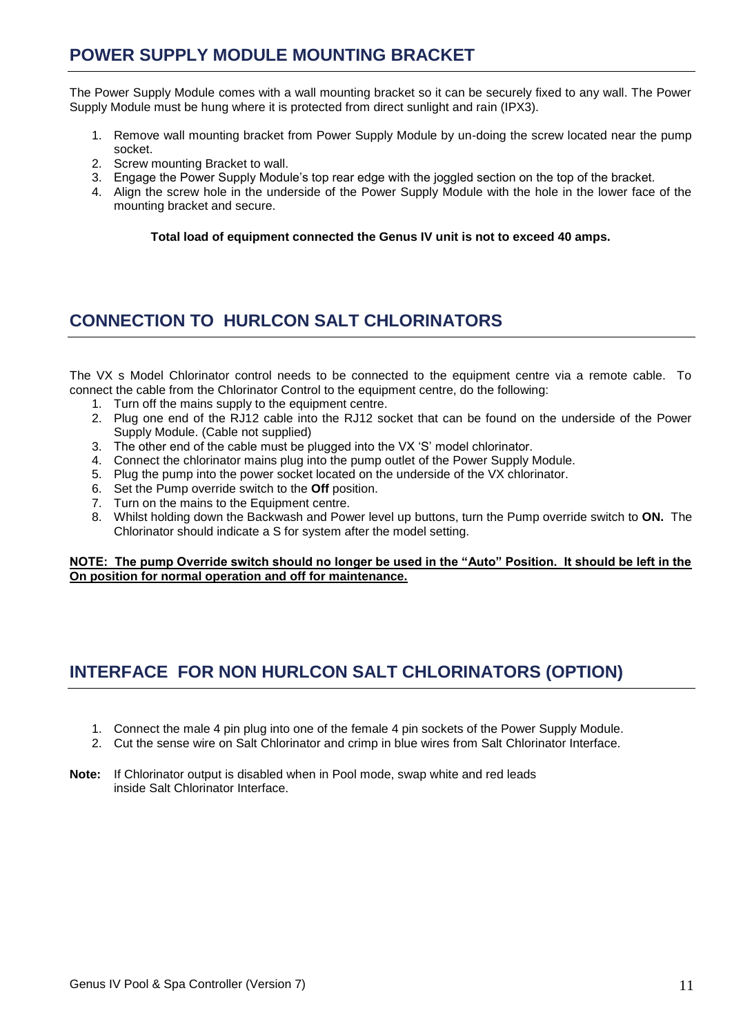## **POWER SUPPLY MODULE MOUNTING BRACKET**

The Power Supply Module comes with a wall mounting bracket so it can be securely fixed to any wall. The Power Supply Module must be hung where it is protected from direct sunlight and rain (IPX3).

- 1. Remove wall mounting bracket from Power Supply Module by un-doing the screw located near the pump socket.
- 2. Screw mounting Bracket to wall.
- 3. Engage the Power Supply Module"s top rear edge with the joggled section on the top of the bracket.
- 4. Align the screw hole in the underside of the Power Supply Module with the hole in the lower face of the mounting bracket and secure.

**Total load of equipment connected the Genus IV unit is not to exceed 40 amps.**

# **CONNECTION TO HURLCON SALT CHLORINATORS**

The VX s Model Chlorinator control needs to be connected to the equipment centre via a remote cable. To connect the cable from the Chlorinator Control to the equipment centre, do the following:

- 1. Turn off the mains supply to the equipment centre.
- 2. Plug one end of the RJ12 cable into the RJ12 socket that can be found on the underside of the Power Supply Module. (Cable not supplied)
- 3. The other end of the cable must be plugged into the VX "S" model chlorinator.
- 4. Connect the chlorinator mains plug into the pump outlet of the Power Supply Module.
- 5. Plug the pump into the power socket located on the underside of the VX chlorinator.
- 6. Set the Pump override switch to the **Off** position.
- 7. Turn on the mains to the Equipment centre.
- 8. Whilst holding down the Backwash and Power level up buttons, turn the Pump override switch to **ON.** The Chlorinator should indicate a S for system after the model setting.

**NOTE: The pump Override switch should no longer be used in the "Auto" Position. It should be left in the On position for normal operation and off for maintenance.** 

# **INTERFACE FOR NON HURLCON SALT CHLORINATORS (OPTION)**

- 1. Connect the male 4 pin plug into one of the female 4 pin sockets of the Power Supply Module.
- 2. Cut the sense wire on Salt Chlorinator and crimp in blue wires from Salt Chlorinator Interface.
- **Note:** If Chlorinator output is disabled when in Pool mode, swap white and red leads inside Salt Chlorinator Interface.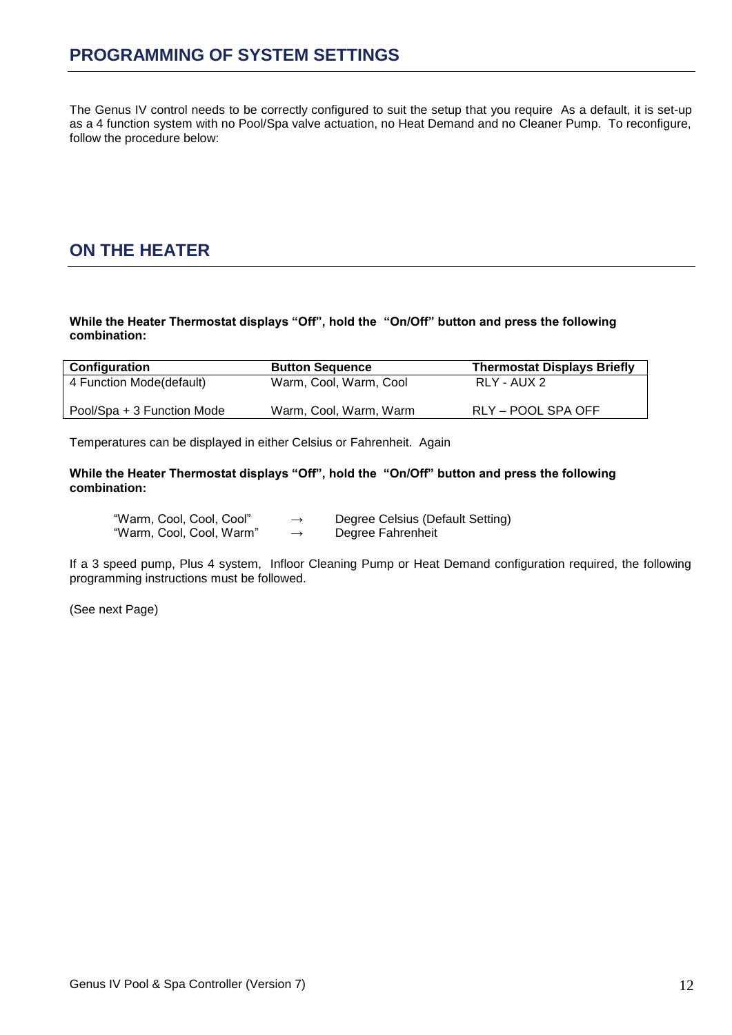The Genus IV control needs to be correctly configured to suit the setup that you require As a default, it is set-up as a 4 function system with no Pool/Spa valve actuation, no Heat Demand and no Cleaner Pump. To reconfigure, follow the procedure below:

# **ON THE HEATER**

**While the Heater Thermostat displays "Off", hold the "On/Off" button and press the following combination:**

| Configuration              | <b>Button Sequence</b> | <b>Thermostat Displays Briefly</b> |  |
|----------------------------|------------------------|------------------------------------|--|
| 4 Function Mode(default)   | Warm, Cool, Warm, Cool | RLY - AUX 2                        |  |
| Pool/Spa + 3 Function Mode | Warm, Cool, Warm, Warm | RLY – POOL SPA OFF                 |  |

Temperatures can be displayed in either Celsius or Fahrenheit. Again

**While the Heater Thermostat displays "Off", hold the "On/Off" button and press the following combination:**

| "Warm, Cool, Cool, Cool" | $\rightarrow$ | Degree Celsius (Default Setting) |
|--------------------------|---------------|----------------------------------|
| "Warm, Cool, Cool, Warm" | $\rightarrow$ | Degree Fahrenheit                |

If a 3 speed pump, Plus 4 system, Infloor Cleaning Pump or Heat Demand configuration required, the following programming instructions must be followed.

(See next Page)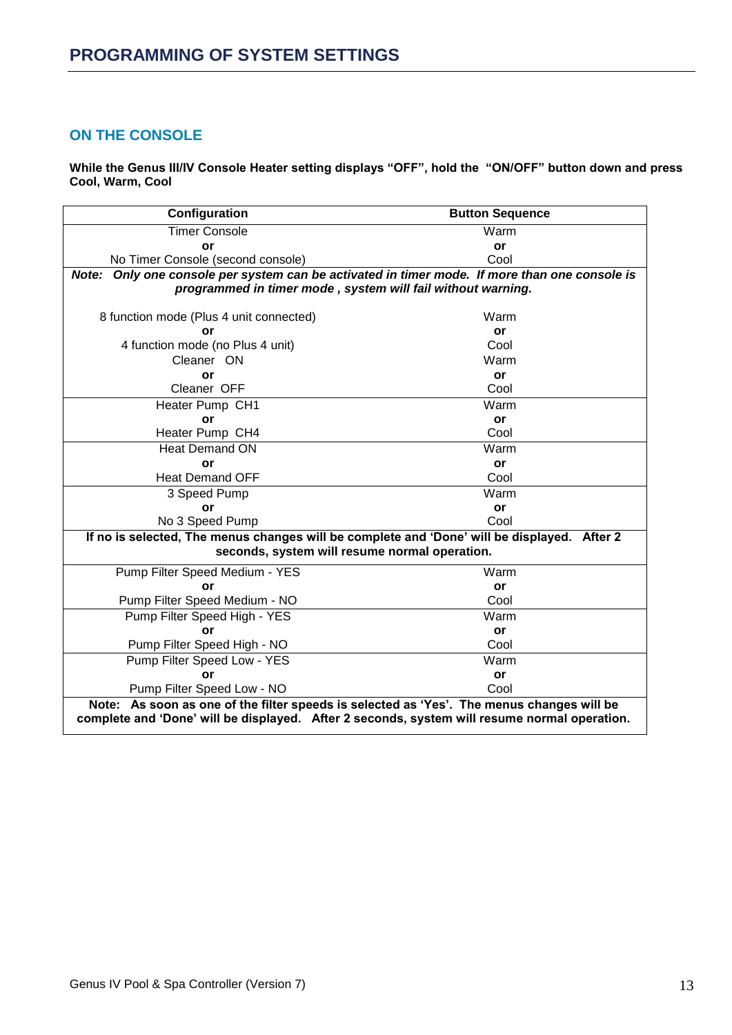#### **ON THE CONSOLE**

**While the Genus III/IV Console Heater setting displays "OFF", hold the "ON/OFF" button down and press Cool, Warm, Cool**

| Configuration<br><b>Button Sequence</b>                                                                                                                                                   |           |  |  |  |
|-------------------------------------------------------------------------------------------------------------------------------------------------------------------------------------------|-----------|--|--|--|
| <b>Timer Console</b>                                                                                                                                                                      | Warm      |  |  |  |
| or                                                                                                                                                                                        | <b>or</b> |  |  |  |
| No Timer Console (second console)                                                                                                                                                         | Cool      |  |  |  |
| Note: Only one console per system can be activated in timer mode. If more than one console is                                                                                             |           |  |  |  |
| programmed in timer mode, system will fail without warning.                                                                                                                               |           |  |  |  |
|                                                                                                                                                                                           |           |  |  |  |
| 8 function mode (Plus 4 unit connected)                                                                                                                                                   | Warm      |  |  |  |
| or                                                                                                                                                                                        | or        |  |  |  |
| 4 function mode (no Plus 4 unit)                                                                                                                                                          | Cool      |  |  |  |
| Cleaner ON                                                                                                                                                                                | Warm      |  |  |  |
| or                                                                                                                                                                                        | or        |  |  |  |
| Cleaner OFF                                                                                                                                                                               | Cool      |  |  |  |
| Heater Pump CH1                                                                                                                                                                           | Warm      |  |  |  |
| or                                                                                                                                                                                        | or        |  |  |  |
| Heater Pump CH4                                                                                                                                                                           | Cool      |  |  |  |
| <b>Heat Demand ON</b>                                                                                                                                                                     | Warm      |  |  |  |
| or                                                                                                                                                                                        | or        |  |  |  |
| <b>Heat Demand OFF</b>                                                                                                                                                                    | Cool      |  |  |  |
| 3 Speed Pump                                                                                                                                                                              | Warm      |  |  |  |
| or                                                                                                                                                                                        | <b>or</b> |  |  |  |
| No 3 Speed Pump                                                                                                                                                                           | Cool      |  |  |  |
| If no is selected, The menus changes will be complete and 'Done' will be displayed. After 2                                                                                               |           |  |  |  |
| seconds, system will resume normal operation.                                                                                                                                             |           |  |  |  |
| Pump Filter Speed Medium - YES                                                                                                                                                            | Warm      |  |  |  |
| or                                                                                                                                                                                        | or        |  |  |  |
| Pump Filter Speed Medium - NO                                                                                                                                                             | Cool      |  |  |  |
| Pump Filter Speed High - YES                                                                                                                                                              | Warm      |  |  |  |
| or                                                                                                                                                                                        | or        |  |  |  |
| Pump Filter Speed High - NO                                                                                                                                                               | Cool      |  |  |  |
| Pump Filter Speed Low - YES                                                                                                                                                               | Warm      |  |  |  |
| or                                                                                                                                                                                        | <b>or</b> |  |  |  |
| Pump Filter Speed Low - NO                                                                                                                                                                | Cool      |  |  |  |
| Note: As soon as one of the filter speeds is selected as 'Yes'. The menus changes will be<br>complete and 'Done' will be displayed. After 2 seconds, system will resume normal operation. |           |  |  |  |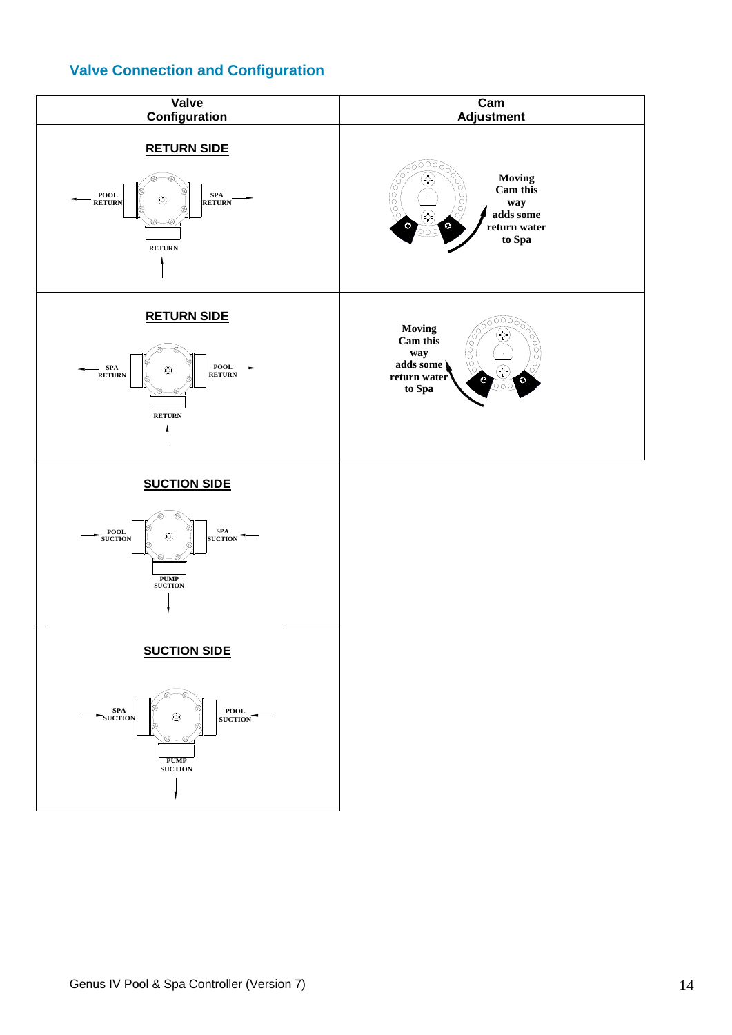## **Valve Connection and Configuration**

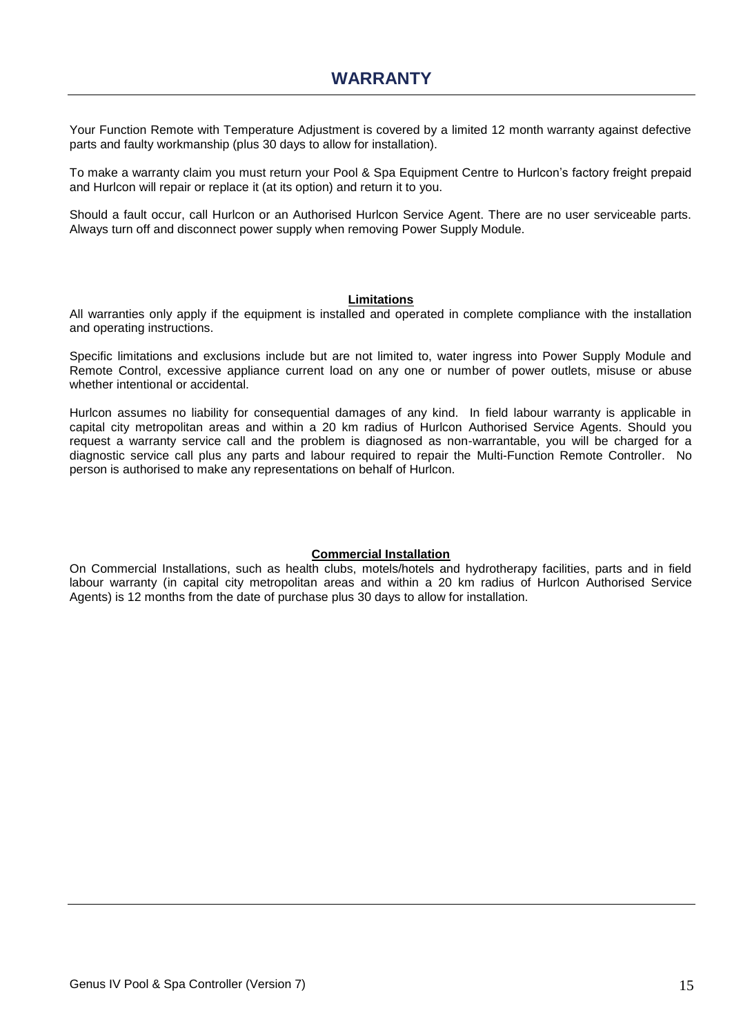Your Function Remote with Temperature Adjustment is covered by a limited 12 month warranty against defective parts and faulty workmanship (plus 30 days to allow for installation).

To make a warranty claim you must return your Pool & Spa Equipment Centre to Hurlcon"s factory freight prepaid and Hurlcon will repair or replace it (at its option) and return it to you.

Should a fault occur, call Hurlcon or an Authorised Hurlcon Service Agent. There are no user serviceable parts. Always turn off and disconnect power supply when removing Power Supply Module.

#### **Limitations**

All warranties only apply if the equipment is installed and operated in complete compliance with the installation and operating instructions.

Specific limitations and exclusions include but are not limited to, water ingress into Power Supply Module and Remote Control, excessive appliance current load on any one or number of power outlets, misuse or abuse whether intentional or accidental.

Hurlcon assumes no liability for consequential damages of any kind. In field labour warranty is applicable in capital city metropolitan areas and within a 20 km radius of Hurlcon Authorised Service Agents. Should you request a warranty service call and the problem is diagnosed as non-warrantable, you will be charged for a diagnostic service call plus any parts and labour required to repair the Multi-Function Remote Controller. No person is authorised to make any representations on behalf of Hurlcon.

#### **Commercial Installation**

On Commercial Installations, such as health clubs, motels/hotels and hydrotherapy facilities, parts and in field labour warranty (in capital city metropolitan areas and within a 20 km radius of Hurlcon Authorised Service Agents) is 12 months from the date of purchase plus 30 days to allow for installation.